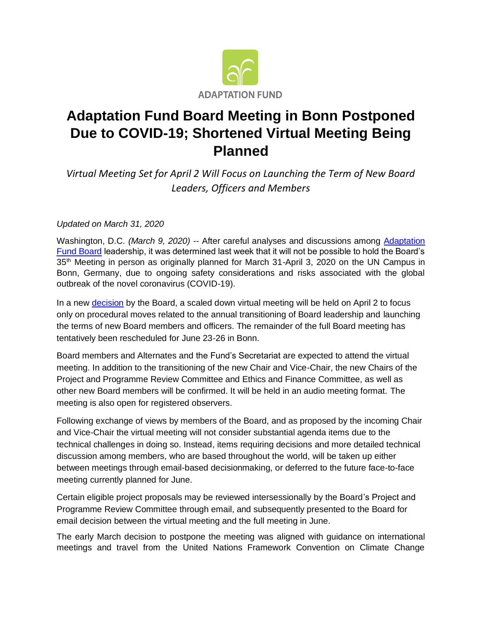

## **Adaptation Fund Board Meeting in Bonn Postponed Due to COVID-19; Shortened Virtual Meeting Being Planned**

*Virtual Meeting Set for April 2 Will Focus on Launching the Term of New Board Leaders, Officers and Members*

*Updated on March 31, 2020* 

Washington, D.C. *(March 9, 2020)* -- After careful analyses and discussions among [Adaptation](https://www.adaptation-fund.org/about/governance/board/)  [Fund Board](https://www.adaptation-fund.org/about/governance/board/) leadership, it was determined last week that it will not be possible to hold the Board's 35<sup>th</sup> Meeting in person as originally planned for March 31-April 3, 2020 on the UN Campus in Bonn, Germany, due to ongoing safety considerations and risks associated with the global outbreak of the novel coronavirus (COVID-19).

In a new [decision](https://www.adaptation-fund.org/wp-content/uploads/2020/03/AFB-Intersessional-decision-B.34-35.26-Dates-of-meeting-in-March-June-2020.pdf) by the Board, a scaled down virtual meeting will be held on April 2 to focus only on procedural moves related to the annual transitioning of Board leadership and launching the terms of new Board members and officers. The remainder of the full Board meeting has tentatively been rescheduled for June 23-26 in Bonn.

Board members and Alternates and the Fund's Secretariat are expected to attend the virtual meeting. In addition to the transitioning of the new Chair and Vice-Chair, the new Chairs of the Project and Programme Review Committee and Ethics and Finance Committee, as well as other new Board members will be confirmed. It will be held in an audio meeting format. The meeting is also open for registered observers.

Following exchange of views by members of the Board, and as proposed by the incoming Chair and Vice-Chair the virtual meeting will not consider substantial agenda items due to the technical challenges in doing so. Instead, items requiring decisions and more detailed technical discussion among members, who are based throughout the world, will be taken up either between meetings through email-based decisionmaking, or deferred to the future face-to-face meeting currently planned for June.

Certain eligible project proposals may be reviewed intersessionally by the Board's Project and Programme Review Committee through email, and subsequently presented to the Board for email decision between the virtual meeting and the full meeting in June.

The early March decision to postpone the meeting was aligned with guidance on international meetings and travel from the United Nations Framework Convention on Climate Change